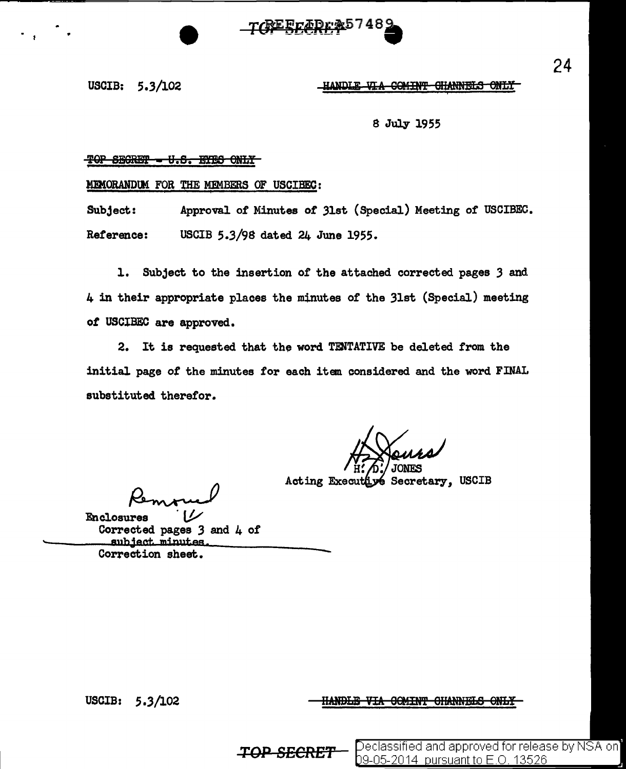USCIB: 5.3/102

<u>HANDLE VIA COMINT GHANNELS ONLY</u>

8 July- 1955

#### TOP SECRET - U.S. EYES ONLY

MEMORANDUM FOR THE MEMBERS OF USCIBEC:

Subject: Reference: Approval of Minutes of 31st (Special) Meeting of USCIBEC:. USCIB *5.3/98* dated 24 June 1955.

1. Subject to the insertion of the attached corrected pages *3* and. 4 in their appropriate places the minutes of the 31st (Special) meeting *ot* USCIBEC are approved.

2. It is requested that the word TENTATIVE be deleted from the initial page of the minutes for each item considered and the word FINAI, substituted therefor.

-

Acting Executive Secretary, USCIB

Removel<br>res "L'

Enclosures Corrected pages 3 and 4 *ot*  subject. minutes. Correction sheet.

USCIB: 5.3/102

....

HANDLE VIA COMINT CHANNELS ONLY

**TOP SECRET** Peclassified and approved for release by NSA on

09-05-2014 pursuant to E.O. 13526